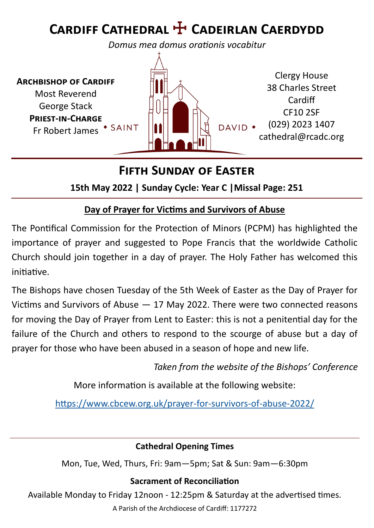# **Cardiff Cathedral** ☩ **Cadeirlan Caerdydd**

*Domus mea domus orationis vocabitur*

**Archbishop of Cardiff** Most Reverend George Stack **Priest-in-Charge** Fr Robert James \* SAINT



## **Fifth Sunday of Easter**

**15th May 2022 | Sunday Cycle: Year C |Missal Page: 251**

#### **Day of Prayer for Victims and Survivors of Abuse**

The Pontifical Commission for the Protection of Minors (PCPM) has highlighted the importance of prayer and suggested to Pope Francis that the worldwide Catholic Church should join together in a day of prayer. The Holy Father has welcomed this initiative.

The Bishops have chosen Tuesday of the 5th Week of Easter as the Day of Prayer for Victims and Survivors of Abuse — 17 May 2022. There were two connected reasons for moving the Day of Prayer from Lent to Easter: this is not a penitential day for the failure of the Church and others to respond to the scourge of abuse but a day of prayer for those who have been abused in a season of hope and new life.

*Taken from the website of the Bishops' Conference*

More information is available at the following website:

[https://www.cbcew.org.uk/prayer](https://www.cbcew.org.uk/prayer-for-survivors-of-abuse-2022/)-for-survivors-of-abuse-2022/

#### **Cathedral Opening Times**

Mon, Tue, Wed, Thurs, Fri: 9am—5pm; Sat & Sun: 9am—6:30pm

#### **Sacrament of Reconciliation**

Available Monday to Friday 12noon - 12:25pm & Saturday at the advertised times.

A Parish of the Archdiocese of Cardiff: 1177272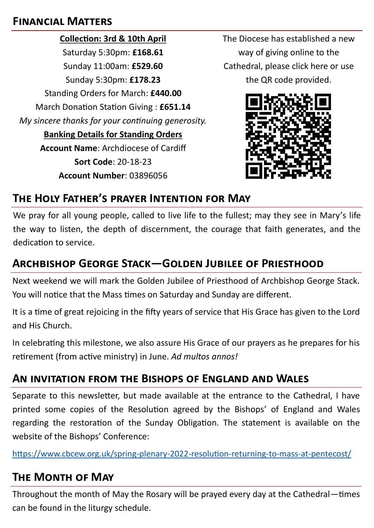#### **Financial Matters**

**Collection: 3rd & 10th April** Saturday 5:30pm: **£168.61** Sunday 11:00am: **£529.60** Sunday 5:30pm: **£178.23** Standing Orders for March: **£440.00** March Donation Station Giving : **£651.14** *My sincere thanks for your continuing generosity.*  **Banking Details for Standing Orders Account Name**: Archdiocese of Cardiff **Sort Code**: 20-18-23 **Account Number**: 03896056

The Diocese has established a new way of giving online to the Cathedral, please click here or use the QR code provided.



## **The Holy Father's prayer Intention for May**

We pray for all young people, called to live life to the fullest; may they see in Mary's life the way to listen, the depth of discernment, the courage that faith generates, and the dedication to service.

## **Archbishop George Stack—Golden Jubilee of Priesthood**

Next weekend we will mark the Golden Jubilee of Priesthood of Archbishop George Stack. You will notice that the Mass times on Saturday and Sunday are different.

It is a time of great rejoicing in the fifty years of service that His Grace has given to the Lord and His Church.

In celebrating this milestone, we also assure His Grace of our prayers as he prepares for his retirement (from active ministry) in June. *Ad multos annos!*

## **An invitation from the Bishops of England and Wales**

Separate to this newsletter, but made available at the entrance to the Cathedral, I have printed some copies of the Resolution agreed by the Bishops' of England and Wales regarding the restoration of the Sunday Obligation. The statement is available on the website of the Bishops' Conference:

[https://www.cbcew.org.uk/spring](https://www.cbcew.org.uk/spring-plenary-2022-resolution-returning-to-mass-at-pentecost/)-plenary-2022-resolution-returning-to-mass-at-pentecost/

## **The Month of May**

Throughout the month of May the Rosary will be prayed every day at the Cathedral—times can be found in the liturgy schedule.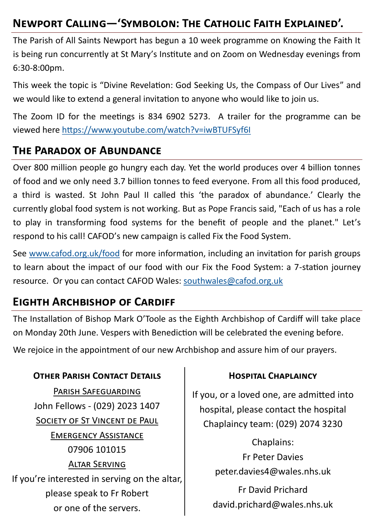## **Newport Calling—'Symbolon: The Catholic Faith Explained'.**

The Parish of All Saints Newport has begun a 10 week programme on Knowing the Faith It is being run concurrently at St Mary's Institute and on Zoom on Wednesday evenings from 6:30-8:00pm.

This week the topic is "Divine Revelation: God Seeking Us, the Compass of Our Lives" and we would like to extend a general invitation to anyone who would like to join us.

The Zoom ID for the meetings is 834 6902 5273. A trailer for the programme can be viewed here <https://www.youtube.com/watch?v=iwBTUFSyf6I>

#### **The Paradox of Abundance**

Over 800 million people go hungry each day. Yet the world produces over 4 billion tonnes of food and we only need 3.7 billion tonnes to feed everyone. From all this food produced, a third is wasted. St John Paul II called this 'the paradox of abundance.' Clearly the currently global food system is not working. But as Pope Francis said, "Each of us has a role to play in transforming food systems for the benefit of people and the planet." Let's respond to his call! CAFOD's new campaign is called Fix the Food System.

See [www.cafod.org.uk/food](http://www.cafod.org.uk/food) for more information, including an invitation for parish groups to learn about the impact of our food with our Fix the Food System: a 7-station journey resource. Or you can contact CAFOD Wales: [southwales@cafod.org.uk](mailto:southwales@cafod.org.uk)

#### **Eighth Archbishop of Cardiff**

The Installation of Bishop Mark O'Toole as the Eighth Archbishop of Cardiff will take place on Monday 20th June. Vespers with Benediction will be celebrated the evening before.

We rejoice in the appointment of our new Archbishop and assure him of our prayers.

#### **OTHER PARISH CONTACT DETAILS CONSERVANT CHAPLAINCY**

Parish Safeguarding John Fellows - (029) 2023 1407 SOCIETY OF ST VINCENT DE PAUL Emergency Assistance 07906 101015 Altar Serving If you're interested in serving on the altar, please speak to Fr Robert or one of the servers.

If you, or a loved one, are admitted into hospital, please contact the hospital Chaplaincy team: (029) 2074 3230

> Chaplains: Fr Peter Davies peter.davies4@wales.nhs.uk

Fr David Prichard david.prichard@wales.nhs.uk